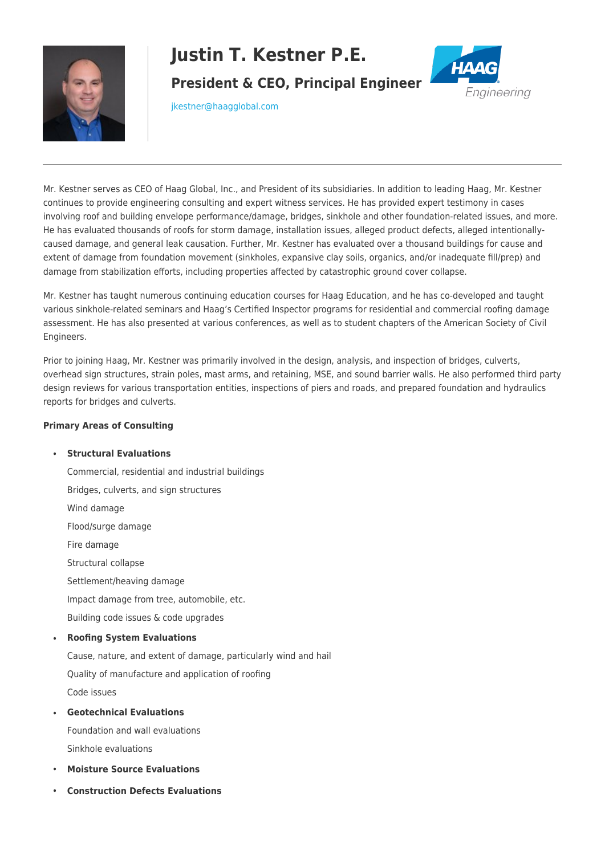

# **Justin T. Kestner P.E.**

**President & CEO, Principal Engineer**



[jkestner@haagglobal.com](mailto:jkestner@haagglobal.com)

Mr. Kestner serves as CEO of Haag Global, Inc., and President of its subsidiaries. In addition to leading Haag, Mr. Kestner continues to provide engineering consulting and expert witness services. He has provided expert testimony in cases involving roof and building envelope performance/damage, bridges, sinkhole and other foundation-related issues, and more. He has evaluated thousands of roofs for storm damage, installation issues, alleged product defects, alleged intentionallycaused damage, and general leak causation. Further, Mr. Kestner has evaluated over a thousand buildings for cause and extent of damage from foundation movement (sinkholes, expansive clay soils, organics, and/or inadequate fill/prep) and damage from stabilization efforts, including properties affected by catastrophic ground cover collapse.

Mr. Kestner has taught numerous continuing education courses for Haag Education, and he has co-developed and taught various sinkhole-related seminars and Haag's Certified Inspector programs for residential and commercial roofing damage assessment. He has also presented at various conferences, as well as to student chapters of the American Society of Civil Engineers.

Prior to joining Haag, Mr. Kestner was primarily involved in the design, analysis, and inspection of bridges, culverts, overhead sign structures, strain poles, mast arms, and retaining, MSE, and sound barrier walls. He also performed third party design reviews for various transportation entities, inspections of piers and roads, and prepared foundation and hydraulics reports for bridges and culverts.

## **Primary Areas of Consulting**

## • **Structural Evaluations**

- Commercial, residential and industrial buildings Bridges, culverts, and sign structures Wind damage Flood/surge damage Fire damage Structural collapse Settlement/heaving damage Impact damage from tree, automobile, etc. Building code issues & code upgrades • **Roofing System Evaluations**
- 

Cause, nature, and extent of damage, particularly wind and hail Quality of manufacture and application of roofing Code issues

• **Geotechnical Evaluations**

Foundation and wall evaluations Sinkhole evaluations

- **Moisture Source Evaluations**
- **Construction Defects Evaluations**